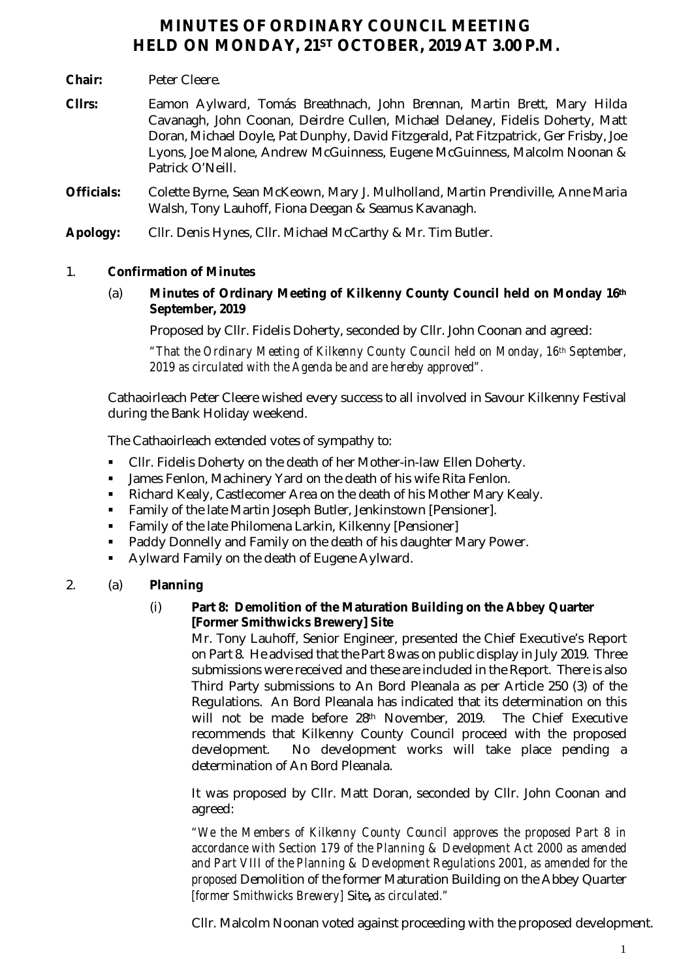# **MINUTES OF ORDINARY COUNCIL MEETING HELD ON MONDAY, 21ST OCTOBER, 2019 AT 3.00 P.M.**

- **Chair:** Peter Cleere.
- **Cllrs:** Eamon Aylward, Tomás Breathnach, John Brennan, Martin Brett, Mary Hilda Cavanagh, John Coonan, Deirdre Cullen, Michael Delaney, Fidelis Doherty, Matt Doran, Michael Doyle, Pat Dunphy, David Fitzgerald, Pat Fitzpatrick, Ger Frisby, Joe Lyons, Joe Malone, Andrew McGuinness, Eugene McGuinness, Malcolm Noonan & Patrick O'Neill.
- **Officials:** Colette Byrne, Sean McKeown, Mary J. Mulholland, Martin Prendiville, Anne Maria Walsh, Tony Lauhoff, Fiona Deegan & Seamus Kavanagh.
- **Apology:** Cllr. Denis Hynes, Cllr. Michael McCarthy & Mr. Tim Butler.

# 1. **Confirmation of Minutes**

(a) **Minutes of Ordinary Meeting of Kilkenny County Council held on Monday 16th September, 2019**

Proposed by Cllr. Fidelis Doherty, seconded by Cllr. John Coonan and agreed:

*"That the Ordinary Meeting of Kilkenny County Council held on Monday, 16th September, 2019 as circulated with the Agenda be and are hereby approved".*

Cathaoirleach Peter Cleere wished every success to all involved in Savour Kilkenny Festival during the Bank Holiday weekend.

The Cathaoirleach extended votes of sympathy to:

- Cllr. Fidelis Doherty on the death of her Mother-in-law Ellen Doherty.
- James Fenlon, Machinery Yard on the death of his wife Rita Fenlon.
- Richard Kealy, Castlecomer Area on the death of his Mother Mary Kealy.
- Family of the late Martin Joseph Butler, Jenkinstown [Pensioner].
- Family of the late Philomena Larkin, Kilkenny [Pensioner]
- Paddy Donnelly and Family on the death of his daughter Mary Power.
- **Aylward Family on the death of Eugene Aylward.**

# 2. (a) **Planning**

#### (i) **Part 8: Demolition of the Maturation Building on the Abbey Quarter [Former Smithwicks Brewery] Site**

Mr. Tony Lauhoff, Senior Engineer, presented the Chief Executive's Report on Part 8. He advised that the Part 8 was on public display in July 2019. Three submissions were received and these are included in the Report. There is also Third Party submissions to An Bord Pleanala as per Article 250 (3) of the Regulations. An Bord Pleanala has indicated that its determination on this will not be made before 28th November, 2019. The Chief Executive recommends that Kilkenny County Council proceed with the proposed development. No development works will take place pending a determination of An Bord Pleanala.

It was proposed by Cllr. Matt Doran, seconded by Cllr. John Coonan and agreed:

*"We the Members of Kilkenny County Council approves the proposed Part 8 in accordance with Section 179 of the Planning & Development Act 2000 as amended and Part VIII of the Planning & Development Regulations 2001, as amended for the proposed* Demolition of the former Maturation Building on the Abbey Quarter *[former Smithwicks Brewery]* Site*, as circulated."*

Cllr. Malcolm Noonan voted against proceeding with the proposed development.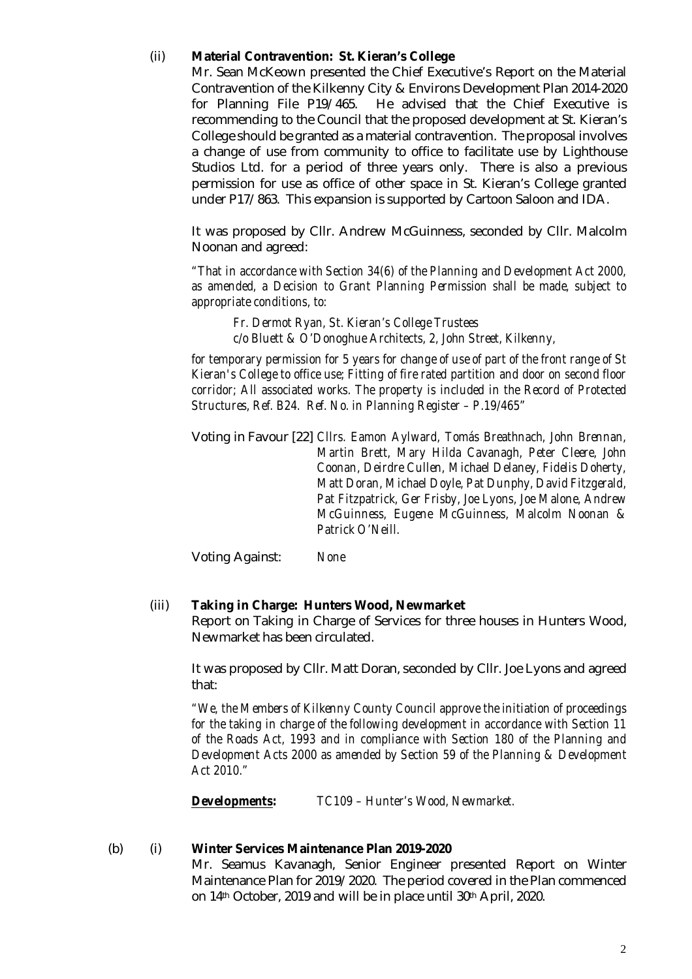### (ii) **Material Contravention: St. Kieran's College**

Mr. Sean McKeown presented the Chief Executive's Report on the Material Contravention of the Kilkenny City & Environs Development Plan 2014-2020 for Planning File P19/465. He advised that the Chief Executive is recommending to the Council that the proposed development at St. Kieran's College should be granted as a material contravention. The proposal involves a change of use from community to office to facilitate use by Lighthouse Studios Ltd. for a period of three years only. There is also a previous permission for use as office of other space in St. Kieran's College granted under P17/863. This expansion is supported by Cartoon Saloon and IDA.

It was proposed by Cllr. Andrew McGuinness, seconded by Cllr. Malcolm Noonan and agreed:

*"That in accordance with Section 34(6) of the Planning and Development Act 2000, as amended, a Decision to Grant Planning Permission shall be made, subject to appropriate conditions, to:*

*Fr. Dermot Ryan, St. Kieran's College Trustees c/o Bluett & O'Donoghue Architects, 2, John Street, Kilkenny,*

*for temporary permission for 5 years for change of use of part of the front range of St Kieran's College to office use; Fitting of fire rated partition and door on second floor corridor; All associated works. The property is included in the Record of Protected Structures, Ref. B24. Ref. No. in Planning Register – P.19/465"*

Voting in Favour [22] *Cllrs. Eamon Aylward, Tomás Breathnach, John Brennan, Martin Brett, Mary Hilda Cavanagh, Peter Cleere, John Coonan, Deirdre Cullen, Michael Delaney, Fidelis Doherty, Matt Doran, Michael Doyle, Pat Dunphy, David Fitzgerald, Pat Fitzpatrick, Ger Frisby, Joe Lyons, Joe Malone, Andrew McGuinness, Eugene McGuinness, Malcolm Noonan & Patrick O'Neill.*

Voting Against: *None*

#### (iii) **Taking in Charge: Hunters Wood, Newmarket**

Report on Taking in Charge of Services for three houses in Hunters Wood, Newmarket has been circulated.

It was proposed by Cllr. Matt Doran, seconded by Cllr. Joe Lyons and agreed that:

*"We, the Members of Kilkenny County Council approve the initiation of proceedings for the taking in charge of the following development in accordance with Section 11 of the Roads Act, 1993 and in compliance with Section 180 of the Planning and Development Acts 2000 as amended by Section 59 of the Planning & Development Act 2010."*

*Developments: TC109 – Hunter's Wood, Newmarket.*

#### (b) (i) **Winter Services Maintenance Plan 2019-2020**

Mr. Seamus Kavanagh, Senior Engineer presented Report on Winter Maintenance Plan for 2019/2020. The period covered in the Plan commenced on 14<sup>th</sup> October, 2019 and will be in place until 30<sup>th</sup> April, 2020.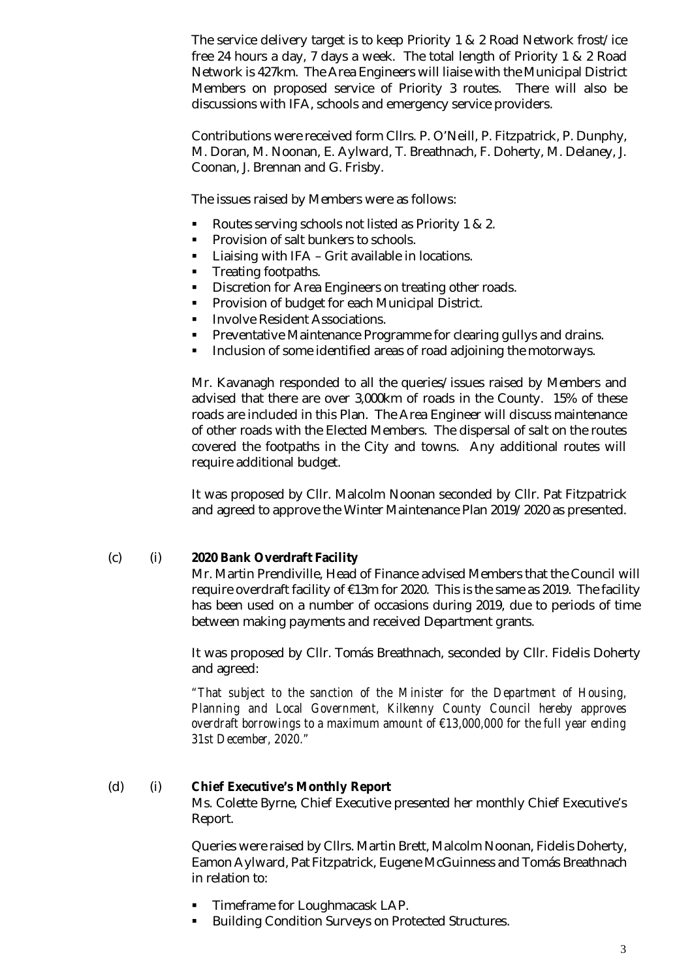The service delivery target is to keep Priority 1 & 2 Road Network frost/ice free 24 hours a day, 7 days a week. The total length of Priority 1 & 2 Road Network is 427km. The Area Engineers will liaise with the Municipal District Members on proposed service of Priority 3 routes. There will also be discussions with IFA, schools and emergency service providers.

Contributions were received form Cllrs. P. O'Neill, P. Fitzpatrick, P. Dunphy, M. Doran, M. Noonan, E. Aylward, T. Breathnach, F. Doherty, M. Delaney, J. Coonan, J. Brennan and G. Frisby.

The issues raised by Members were as follows:

- Routes serving schools not listed as Priority 1 & 2.
- **Provision of salt bunkers to schools.**
- **EXECT:** Liaising with IFA Grit available in locations.
- **Treating footpaths.**
- Discretion for Area Engineers on treating other roads.
- **Provision of budget for each Municipal District.**
- **Involve Resident Associations.**
- **Preventative Maintenance Programme for clearing gullys and drains.**
- **Inclusion of some identified areas of road adjoining the motorways.**

Mr. Kavanagh responded to all the queries/issues raised by Members and advised that there are over 3,000km of roads in the County. 15% of these roads are included in this Plan. The Area Engineer will discuss maintenance of other roads with the Elected Members. The dispersal of salt on the routes covered the footpaths in the City and towns. Any additional routes will require additional budget.

It was proposed by Cllr. Malcolm Noonan seconded by Cllr. Pat Fitzpatrick and agreed to approve the Winter Maintenance Plan 2019/2020 as presented.

#### (c) (i) **2020 Bank Overdraft Facility**

Mr. Martin Prendiville, Head of Finance advised Members that the Council will require overdraft facility of €13m for 2020. This is the same as 2019. The facility has been used on a number of occasions during 2019, due to periods of time between making payments and received Department grants.

It was proposed by Cllr. Tomás Breathnach, seconded by Cllr. Fidelis Doherty and agreed:

*"That subject to the sanction of the Minister for the Department of Housing, Planning and Local Government, Kilkenny County Council hereby approves overdraft borrowings to a maximum amount of €13,000,000 for the full year ending 31st December, 2020."*

# (d) (i) **Chief Executive's Monthly Report**

Ms. Colette Byrne, Chief Executive presented her monthly Chief Executive's Report.

Queries were raised by Cllrs. Martin Brett, Malcolm Noonan, Fidelis Doherty, Eamon Aylward, Pat Fitzpatrick, Eugene McGuinness and Tomás Breathnach in relation to:

- Timeframe for Loughmacask LAP.
- Building Condition Surveys on Protected Structures.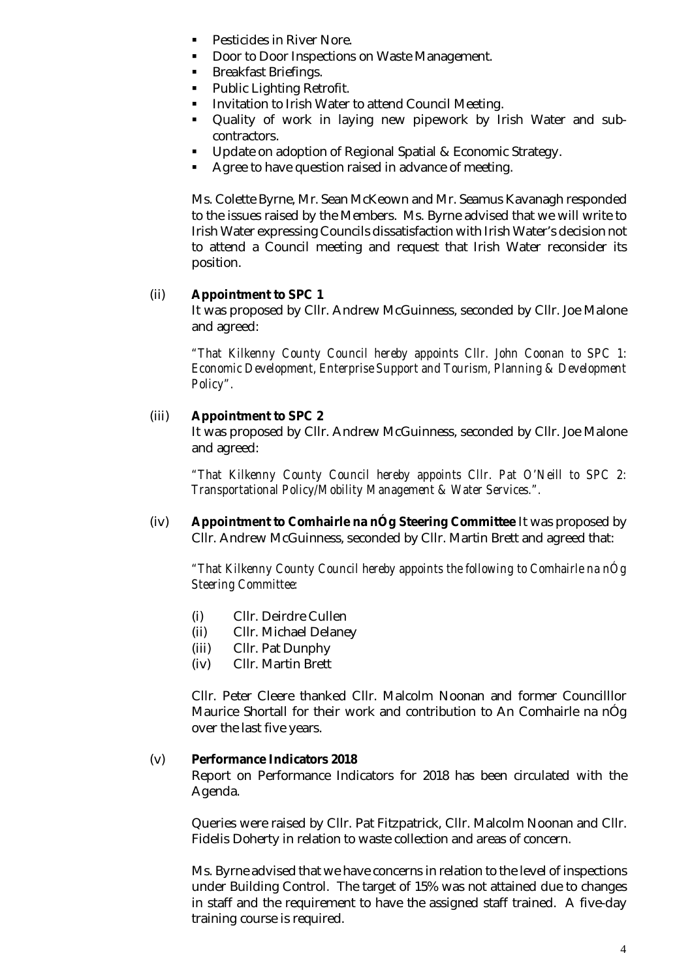- Pesticides in River Nore.
- Door to Door Inspections on Waste Management.
- Breakfast Briefings.
- **Public Lighting Retrofit.**
- Invitation to Irish Water to attend Council Meeting.
- Quality of work in laying new pipework by Irish Water and subcontractors.
- **Update on adoption of Regional Spatial & Economic Strategy.**
- Agree to have question raised in advance of meeting.

Ms. Colette Byrne, Mr. Sean McKeown and Mr. Seamus Kavanagh responded to the issues raised by the Members. Ms. Byrne advised that we will write to Irish Water expressing Councils dissatisfaction with Irish Water's decision not to attend a Council meeting and request that Irish Water reconsider its position.

### (ii) **Appointment to SPC 1**

It was proposed by Cllr. Andrew McGuinness, seconded by Cllr. Joe Malone and agreed:

*"That Kilkenny County Council hereby appoints Cllr. John Coonan to SPC 1: Economic Development, Enterprise Support and Tourism, Planning & Development Policy".*

### (iii) **Appointment to SPC 2**

It was proposed by Cllr. Andrew McGuinness, seconded by Cllr. Joe Malone and agreed:

*"That Kilkenny County Council hereby appoints Cllr. Pat O'Neill to SPC 2: Transportational Policy/Mobility Management & Water Services.".*

(iv) **Appointment to Comhairle na nÓg Steering Committee** It was proposed by Cllr. Andrew McGuinness, seconded by Cllr. Martin Brett and agreed that:

*"That Kilkenny County Council hereby appoints the following to Comhairle na nÓg Steering Committee:*

- (i) Cllr. Deirdre Cullen
- (ii) Cllr. Michael Delaney
- (iii) Cllr. Pat Dunphy
- (iv) Cllr. Martin Brett

Cllr. Peter Cleere thanked Cllr. Malcolm Noonan and former Councilllor Maurice Shortall for their work and contribution to An Comhairle na nÓg over the last five years.

#### (v) **Performance Indicators 2018**

Report on Performance Indicators for 2018 has been circulated with the Agenda.

Queries were raised by Cllr. Pat Fitzpatrick, Cllr. Malcolm Noonan and Cllr. Fidelis Doherty in relation to waste collection and areas of concern.

Ms. Byrne advised that we have concerns in relation to the level of inspections under Building Control. The target of 15% was not attained due to changes in staff and the requirement to have the assigned staff trained. A five-day training course is required.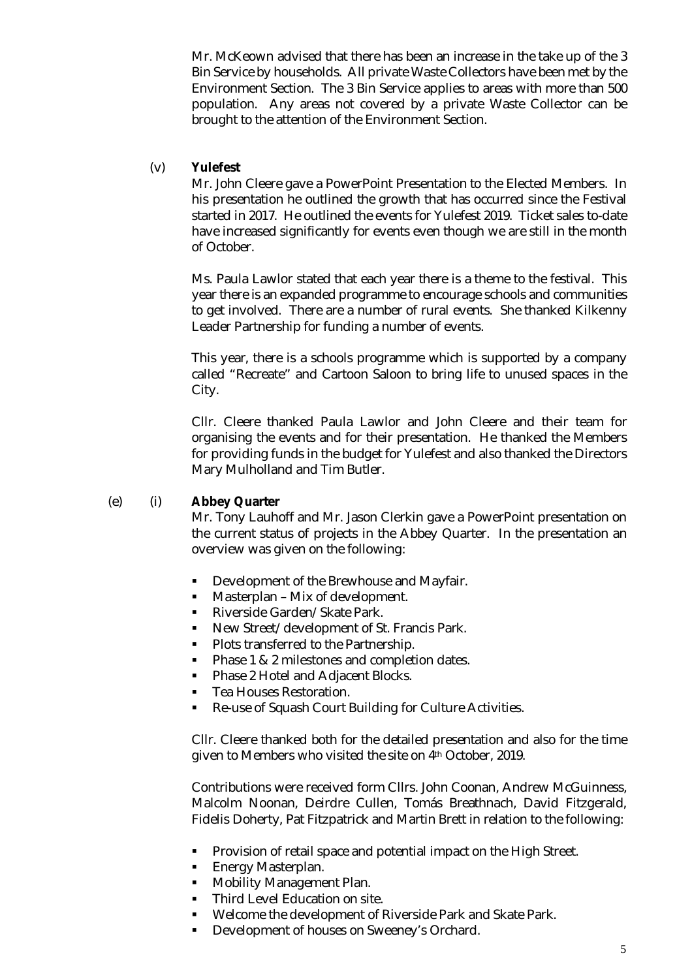Mr. McKeown advised that there has been an increase in the take up of the 3 Bin Service by households. All private Waste Collectors have been met by the Environment Section. The 3 Bin Service applies to areas with more than 500 population. Any areas not covered by a private Waste Collector can be brought to the attention of the Environment Section.

#### (v) **Yulefest**

Mr. John Cleere gave a PowerPoint Presentation to the Elected Members. In his presentation he outlined the growth that has occurred since the Festival started in 2017. He outlined the events for Yulefest 2019. Ticket sales to-date have increased significantly for events even though we are still in the month of October.

Ms. Paula Lawlor stated that each year there is a theme to the festival. This year there is an expanded programme to encourage schools and communities to get involved. There are a number of rural events. She thanked Kilkenny Leader Partnership for funding a number of events.

This year, there is a schools programme which is supported by a company called "Recreate" and Cartoon Saloon to bring life to unused spaces in the City.

Cllr. Cleere thanked Paula Lawlor and John Cleere and their team for organising the events and for their presentation. He thanked the Members for providing funds in the budget for Yulefest and also thanked the Directors Mary Mulholland and Tim Butler.

# (e) (i) **Abbey Quarter**

Mr. Tony Lauhoff and Mr. Jason Clerkin gave a PowerPoint presentation on the current status of projects in the Abbey Quarter. In the presentation an overview was given on the following:

- Development of the Brewhouse and Mayfair.
- Masterplan Mix of development.
- **Riverside Garden/Skate Park.**
- New Street/development of St. Francis Park.
- **Plots transferred to the Partnership.**
- **Phase 1 & 2 milestones and completion dates.**
- Phase 2 Hotel and Adjacent Blocks.
- Tea Houses Restoration.
- Re-use of Squash Court Building for Culture Activities.

Cllr. Cleere thanked both for the detailed presentation and also for the time given to Members who visited the site on 4th October, 2019.

Contributions were received form Cllrs. John Coonan, Andrew McGuinness, Malcolm Noonan, Deirdre Cullen, Tomás Breathnach, David Fitzgerald, Fidelis Doherty, Pat Fitzpatrick and Martin Brett in relation to the following:

- Provision of retail space and potential impact on the High Street.
- **Energy Masterplan.**
- **Mobility Management Plan.**
- **Third Level Education on site.**
- Welcome the development of Riverside Park and Skate Park.
- Development of houses on Sweeney's Orchard.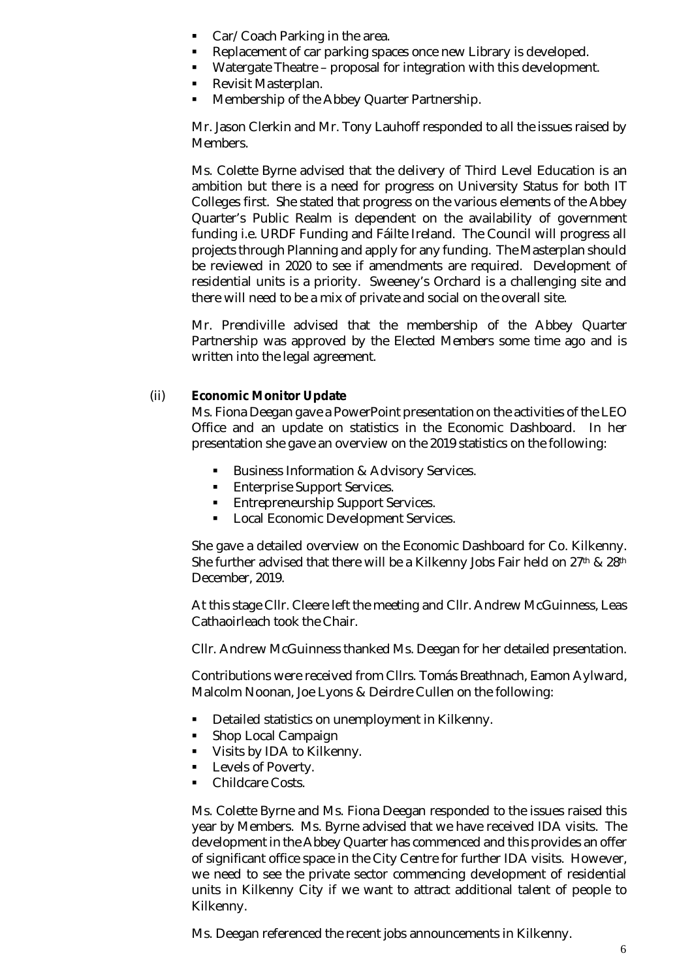- Car/Coach Parking in the area.
- Replacement of car parking spaces once new Library is developed.
- Watergate Theatre proposal for integration with this development.
- Revisit Masterplan.
- **Membership of the Abbey Quarter Partnership.**

Mr. Jason Clerkin and Mr. Tony Lauhoff responded to all the issues raised by Members.

Ms. Colette Byrne advised that the delivery of Third Level Education is an ambition but there is a need for progress on University Status for both IT Colleges first. She stated that progress on the various elements of the Abbey Quarter's Public Realm is dependent on the availability of government funding i.e. URDF Funding and Fáilte Ireland. The Council will progress all projects through Planning and apply for any funding. The Masterplan should be reviewed in 2020 to see if amendments are required. Development of residential units is a priority. Sweeney's Orchard is a challenging site and there will need to be a mix of private and social on the overall site.

Mr. Prendiville advised that the membership of the Abbey Quarter Partnership was approved by the Elected Members some time ago and is written into the legal agreement.

### (ii) **Economic Monitor Update**

Ms. Fiona Deegan gave a PowerPoint presentation on the activities of the LEO Office and an update on statistics in the Economic Dashboard. In her presentation she gave an overview on the 2019 statistics on the following:

- **Business Information & Advisory Services.**
- **Enterprise Support Services.**
- **Entrepreneurship Support Services.**
- **Local Economic Development Services.**

She gave a detailed overview on the Economic Dashboard for Co. Kilkenny. She further advised that there will be a Kilkenny Jobs Fair held on 27<sup>th</sup> & 28<sup>th</sup> December, 2019.

At this stage Cllr. Cleere left the meeting and Cllr. Andrew McGuinness, Leas Cathaoirleach took the Chair.

Cllr. Andrew McGuinness thanked Ms. Deegan for her detailed presentation.

Contributions were received from Cllrs. Tomás Breathnach, Eamon Aylward, Malcolm Noonan, Joe Lyons & Deirdre Cullen on the following:

- Detailed statistics on unemployment in Kilkenny.
- Shop Local Campaign
- **Visits by IDA to Kilkenny.**
- **Levels of Poverty.**
- Childcare Costs.

Ms. Colette Byrne and Ms. Fiona Deegan responded to the issues raised this year by Members. Ms. Byrne advised that we have received IDA visits. The development in the Abbey Quarter has commenced and this provides an offer of significant office space in the City Centre for further IDA visits. However, we need to see the private sector commencing development of residential units in Kilkenny City if we want to attract additional talent of people to Kilkenny.

Ms. Deegan referenced the recent jobs announcements in Kilkenny.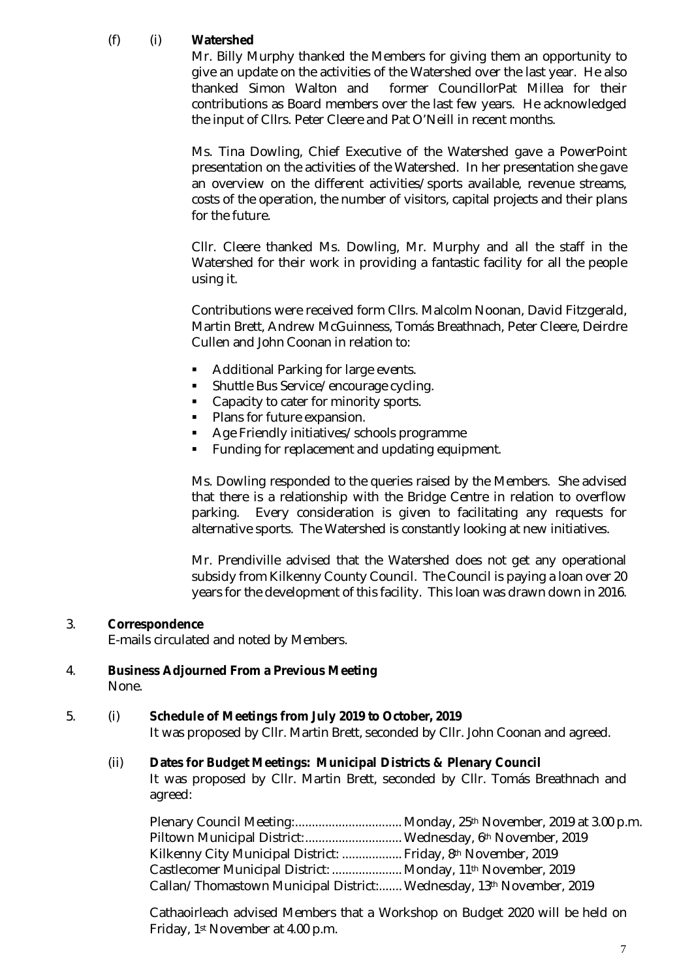# (f) (i) **Watershed**

Mr. Billy Murphy thanked the Members for giving them an opportunity to give an update on the activities of the Watershed over the last year. He also thanked Simon Walton and former CouncillorPat Millea for their contributions as Board members over the last few years. He acknowledged the input of Cllrs. Peter Cleere and Pat O'Neill in recent months.

Ms. Tina Dowling, Chief Executive of the Watershed gave a PowerPoint presentation on the activities of the Watershed. In her presentation she gave an overview on the different activities/sports available, revenue streams, costs of the operation, the number of visitors, capital projects and their plans for the future.

Cllr. Cleere thanked Ms. Dowling, Mr. Murphy and all the staff in the Watershed for their work in providing a fantastic facility for all the people using it.

Contributions were received form Cllrs. Malcolm Noonan, David Fitzgerald, Martin Brett, Andrew McGuinness, Tomás Breathnach, Peter Cleere, Deirdre Cullen and John Coonan in relation to:

- **Additional Parking for large events.**
- **Shuttle Bus Service/encourage cycling.**
- Capacity to cater for minority sports.
- Plans for future expansion.
- **Age Friendly initiatives/schools programme**
- **Funding for replacement and updating equipment.**

Ms. Dowling responded to the queries raised by the Members. She advised that there is a relationship with the Bridge Centre in relation to overflow parking. Every consideration is given to facilitating any requests for alternative sports. The Watershed is constantly looking at new initiatives.

Mr. Prendiville advised that the Watershed does not get any operational subsidy from Kilkenny County Council. The Council is paying a loan over 20 years for the development of this facility. This loan was drawn down in 2016.

#### 3. **Correspondence**

E-mails circulated and noted by Members.

4. **Business Adjourned From a Previous Meeting** None.

# 5. (i) **Schedule of Meetings from July 2019 to October, 2019**

It was proposed by Cllr. Martin Brett, seconded by Cllr. John Coonan and agreed.

#### (ii) **Dates for Budget Meetings: Municipal Districts & Plenary Council**

It was proposed by Cllr. Martin Brett, seconded by Cllr. Tomás Breathnach and agreed:

Plenary Council Meeting:.................................. Monday, 25<sup>th</sup> November, 2019 at 3.00 p.m. Piltown Municipal District:............................... Wednesday, 6th November, 2019 Kilkenny City Municipal District: .................. Friday, 8th November, 2019 Castlecomer Municipal District: ..................... Monday, 11th November, 2019 Callan/Thomastown Municipal District:....... Wednesday, 13th November, 2019

Cathaoirleach advised Members that a Workshop on Budget 2020 will be held on Friday, 1st November at 4.00 p.m.